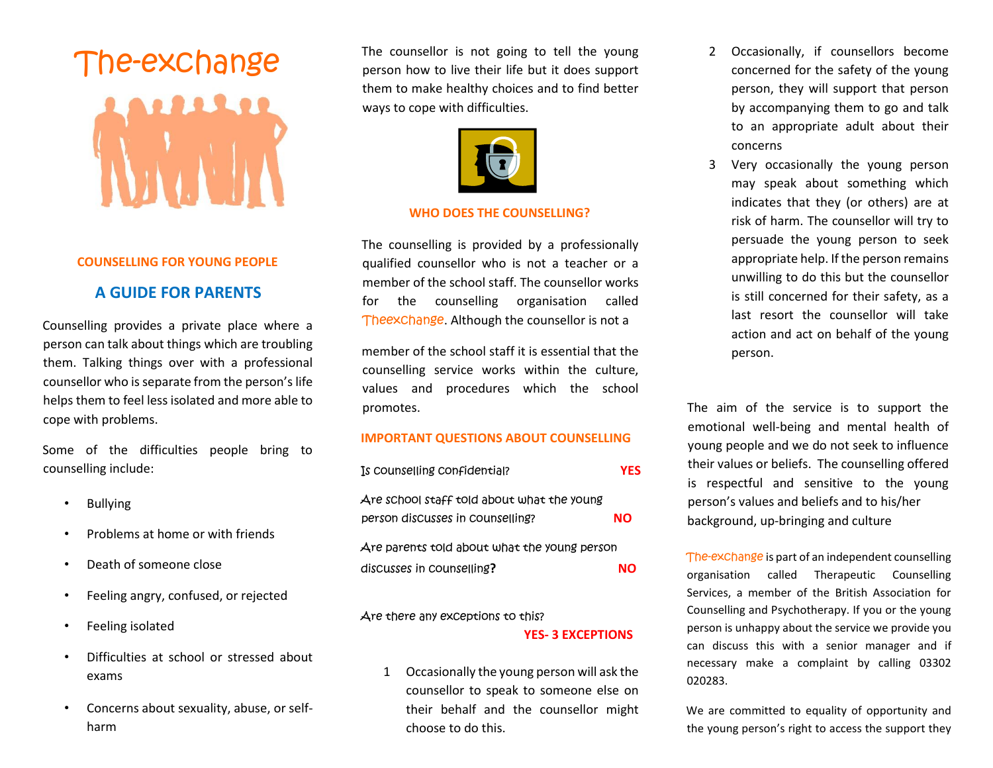# The-exchange

#### **COUNSELLING FOR YOUNG PEOPLE**

### **A GUIDE FOR PARENTS**

Counselling provides a private place where a person can talk about things which are troubling them. Talking things over with a professional counsellor who is separate from the person's life helps them to feel less isolated and more able to cope with problems.

Some of the difficulties people bring to counselling include:

- **Bullying**
- Problems at home or with friends
- Death of someone close
- Feeling angry, confused, or rejected
- Feeling isolated
- Difficulties at school or stressed about exams
- Concerns about sexuality, abuse, or selfharm

The counsellor is not going to tell the young person how to live their life but it does support them to make healthy choices and to find better ways to cope with difficulties.



#### **WHO DOES THE COUNSELLING?**

The counselling is provided by a professionally qualified counsellor who is not a teacher or a member of the school staff. The counsellor works for the counselling organisation called Theexchange. Although the counsellor is not a

member of the school staff it is essential that the counselling service works within the culture, values and procedures which the school promotes.

#### **IMPORTANT QUESTIONS ABOUT COUNSELLING**

| Is counselling confidential?                                                   | YES |
|--------------------------------------------------------------------------------|-----|
| Are school staff told about what the young<br>person discusses in counselling? | NΟ  |
| Are parents told about what the young person                                   |     |
| discusses in counselling?                                                      | NΟ  |

#### Are there any exceptions to this?

#### **YES- 3 EXCEPTIONS**

1 Occasionally the young person will ask the counsellor to speak to someone else on their behalf and the counsellor might choose to do this.

- 2 Occasionally, if counsellors become concerned for the safety of the young person, they will support that person by accompanying them to go and talk to an appropriate adult about their concerns
- 3 Very occasionally the young person may speak about something which indicates that they (or others) are at risk of harm. The counsellor will try to persuade the young person to seek appropriate help. If the person remains unwilling to do this but the counsellor is still concerned for their safety, as a last resort the counsellor will take action and act on behalf of the young person.

The aim of the service is to support the emotional well-being and mental health of young people and we do not seek to influence their values or beliefs. The counselling offered is respectful and sensitive to the young person's values and beliefs and to his/her background, up-bringing and culture

The-exchange is part of an independent counselling organisation called Therapeutic Counselling Services, a member of the British Association for Counselling and Psychotherapy. If you or the young person is unhappy about the service we provide you can discuss this with a senior manager and if necessary make a complaint by calling 03302 020283.

We are committed to equality of opportunity and the young person's right to access the support they